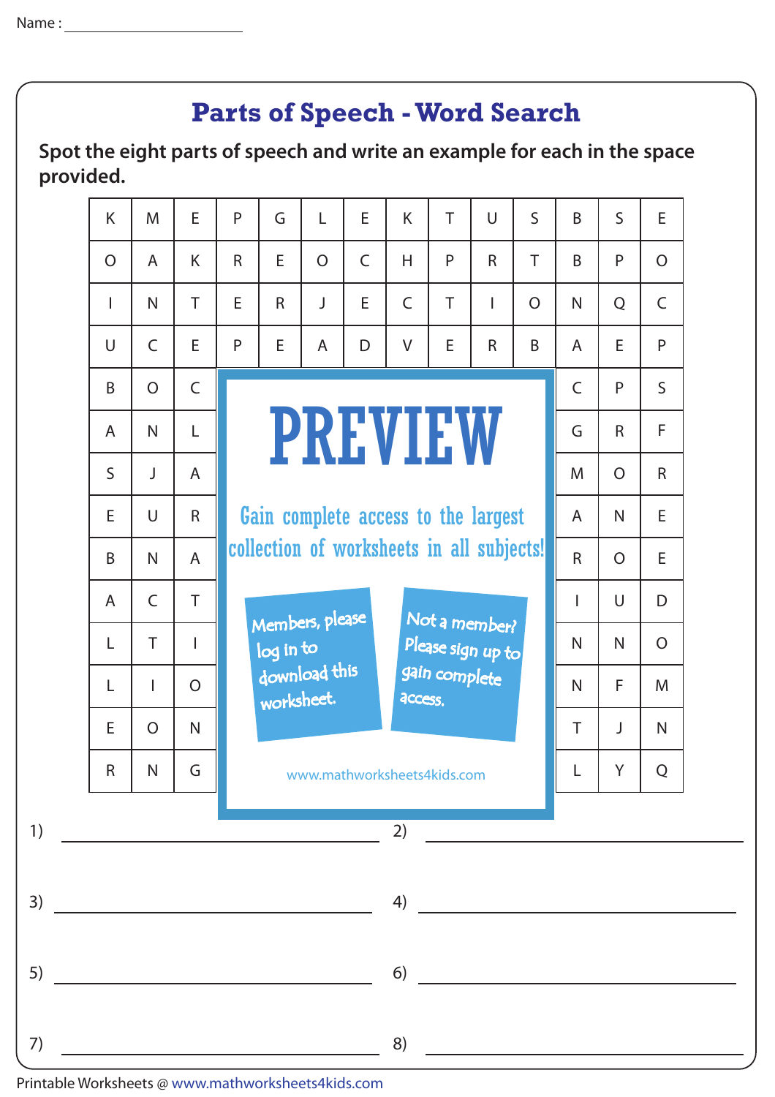## **Parts of Speech - Word Search**

**Spot the eight parts of speech and write an example for each in the space provided.**

| K                                                                                                                                                                                                                                                                                                                                                                                    | M                                                                              | E              | P           | G                                                            | L              | E.           | K                                                                                                                                                                                                                                    | T            | $\cup$       | $\mathsf{S}$   | B                                               | $\mathsf{S}$   | E              |
|--------------------------------------------------------------------------------------------------------------------------------------------------------------------------------------------------------------------------------------------------------------------------------------------------------------------------------------------------------------------------------------|--------------------------------------------------------------------------------|----------------|-------------|--------------------------------------------------------------|----------------|--------------|--------------------------------------------------------------------------------------------------------------------------------------------------------------------------------------------------------------------------------------|--------------|--------------|----------------|-------------------------------------------------|----------------|----------------|
| $\overline{O}$                                                                                                                                                                                                                                                                                                                                                                       | $\mathsf{A}$                                                                   | K              | $\mathsf R$ | E                                                            | $\overline{O}$ | $\mathsf{C}$ | H                                                                                                                                                                                                                                    | P            | $\mathsf{R}$ | T              | B                                               | P              | $\overline{O}$ |
| $\mathbf{I}$                                                                                                                                                                                                                                                                                                                                                                         | $\mathsf{N}$                                                                   | T              | E           | $\mathsf{R}$                                                 | J              | E.           | $\mathsf C$                                                                                                                                                                                                                          | T            | T            | $\overline{O}$ | $\mathsf{N}$                                    | Q              | $\mathsf{C}$   |
| $\cup$                                                                                                                                                                                                                                                                                                                                                                               | $\mathsf{C}$                                                                   | E              | P           | E                                                            | A              | D            | V                                                                                                                                                                                                                                    | E            | $\mathsf{R}$ | B              | $\mathsf{A}$                                    | E              | P              |
| B                                                                                                                                                                                                                                                                                                                                                                                    | $\overline{O}$                                                                 | $\mathsf C$    |             |                                                              |                |              |                                                                                                                                                                                                                                      |              |              |                | $\mathsf{C}$                                    | P              | $\mathsf{S}$   |
| $\mathsf{A}$                                                                                                                                                                                                                                                                                                                                                                         | $\mathsf{N}$                                                                   | L              |             | <b>PREVIEW</b>                                               |                |              |                                                                                                                                                                                                                                      |              |              |                |                                                 | $\mathsf{R}$   | F              |
| $\mathsf{S}$                                                                                                                                                                                                                                                                                                                                                                         | J                                                                              | $\overline{A}$ |             |                                                              |                |              |                                                                                                                                                                                                                                      |              |              |                | M                                               | $\overline{O}$ | $\mathsf{R}$   |
| E                                                                                                                                                                                                                                                                                                                                                                                    | $\cup$                                                                         | $\mathsf{R}$   |             |                                                              |                |              | Gain complete access to the largest                                                                                                                                                                                                  |              |              |                | A                                               | $\mathsf{N}$   | E.             |
| B                                                                                                                                                                                                                                                                                                                                                                                    | $\mathsf{N}$                                                                   | $\overline{A}$ |             | collection of worksheets in all subjects!<br>Members, please |                |              |                                                                                                                                                                                                                                      |              |              |                |                                                 | $\overline{O}$ | E.             |
| $\overline{A}$                                                                                                                                                                                                                                                                                                                                                                       | $\mathsf{C}$                                                                   | T              |             |                                                              |                |              |                                                                                                                                                                                                                                      |              |              |                |                                                 | $\cup$         | D              |
| L                                                                                                                                                                                                                                                                                                                                                                                    | T                                                                              | $\mathbf{I}$   |             | Not a member?<br>Please sign up to<br>log in to              |                |              |                                                                                                                                                                                                                                      |              |              | $\mathsf{N}$   | $\mathsf{N}$                                    | $\overline{O}$ |                |
| L                                                                                                                                                                                                                                                                                                                                                                                    | download this<br>gain complete<br>$\overline{O}$<br>L<br>worksheet.<br>access. |                |             |                                                              |                |              |                                                                                                                                                                                                                                      | $\mathsf{N}$ | F            | M              |                                                 |                |                |
| E                                                                                                                                                                                                                                                                                                                                                                                    | $\overline{O}$                                                                 | $\mathsf{N}$   | T           |                                                              |                |              |                                                                                                                                                                                                                                      |              |              |                | J                                               | N.             |                |
| $\mathsf R$                                                                                                                                                                                                                                                                                                                                                                          | G<br>$\mathsf{N}$<br>www.mathworksheets4kids.com                               |                |             |                                                              |                |              |                                                                                                                                                                                                                                      |              |              | L              | Y                                               | Q              |                |
| $\overline{1}$ $\overline{1}$ $\overline{1}$ $\overline{1}$ $\overline{1}$ $\overline{1}$ $\overline{1}$ $\overline{1}$ $\overline{1}$ $\overline{1}$ $\overline{1}$ $\overline{1}$ $\overline{1}$ $\overline{1}$ $\overline{1}$ $\overline{1}$ $\overline{1}$ $\overline{1}$ $\overline{1}$ $\overline{1}$ $\overline{1}$ $\overline{1}$ $\overline{1}$ $\overline{1}$ $\overline{$ |                                                                                |                |             |                                                              |                |              | <u>and the company of the company of the company of the company of the company of the company of the company of the company of the company of the company of the company of the company of the company of the company of the com</u> |              | 2)           |                |                                                 |                |                |
|                                                                                                                                                                                                                                                                                                                                                                                      |                                                                                |                |             |                                                              |                |              |                                                                                                                                                                                                                                      |              |              |                | $\left( \begin{array}{c} 4 \end{array} \right)$ |                |                |
|                                                                                                                                                                                                                                                                                                                                                                                      |                                                                                |                |             |                                                              |                |              |                                                                                                                                                                                                                                      |              |              |                | $\begin{array}{c} \text{6)} \end{array}$        |                |                |
| $7)$ 8)                                                                                                                                                                                                                                                                                                                                                                              |                                                                                |                |             |                                                              |                |              |                                                                                                                                                                                                                                      |              |              |                |                                                 |                |                |

Printable Worksheets @ www.mathworksheets4kids.com